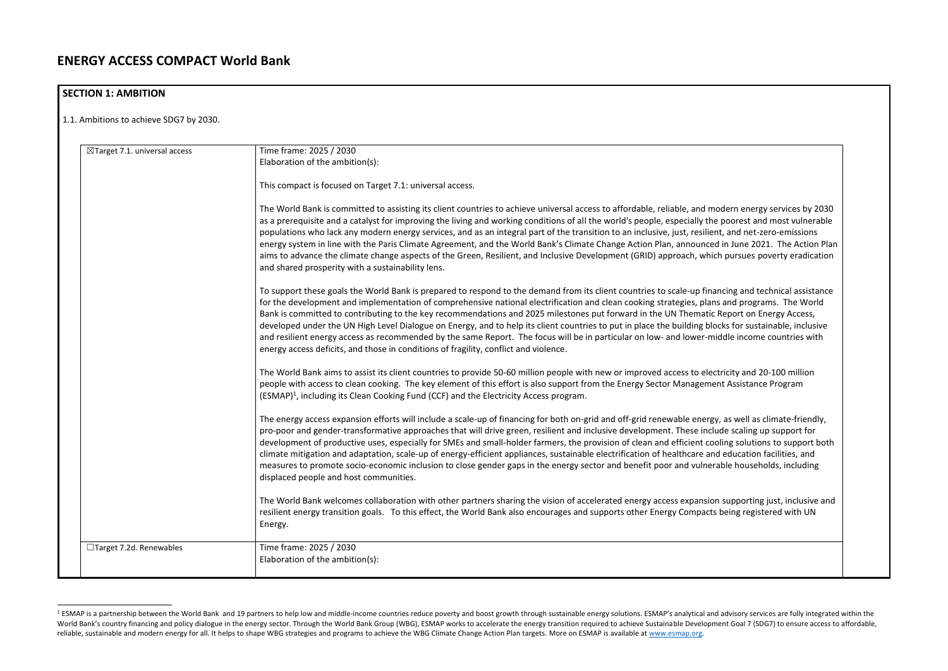| $\boxtimes$ Target 7.1. universal access | Time frame: 2025 / 2030                                                                                                                                                                                                                                                                                                                                                                                                                                                                                                                                                                                                                                                                                                                                                                                                                           |
|------------------------------------------|---------------------------------------------------------------------------------------------------------------------------------------------------------------------------------------------------------------------------------------------------------------------------------------------------------------------------------------------------------------------------------------------------------------------------------------------------------------------------------------------------------------------------------------------------------------------------------------------------------------------------------------------------------------------------------------------------------------------------------------------------------------------------------------------------------------------------------------------------|
|                                          | Elaboration of the ambition(s):                                                                                                                                                                                                                                                                                                                                                                                                                                                                                                                                                                                                                                                                                                                                                                                                                   |
|                                          | This compact is focused on Target 7.1: universal access.                                                                                                                                                                                                                                                                                                                                                                                                                                                                                                                                                                                                                                                                                                                                                                                          |
|                                          | The World Bank is committed to assisting its client countries to achieve universal access to affordable, reliable, and modern energy services by 2030<br>as a prerequisite and a catalyst for improving the living and working conditions of all the world's people, especially the poorest and most vulnerable<br>populations who lack any modern energy services, and as an integral part of the transition to an inclusive, just, resilient, and net-zero-emissions<br>energy system in line with the Paris Climate Agreement, and the World Bank's Climate Change Action Plan, announced in June 2021. The Action Plan<br>aims to advance the climate change aspects of the Green, Resilient, and Inclusive Development (GRID) approach, which pursues poverty eradication<br>and shared prosperity with a sustainability lens.               |
|                                          | To support these goals the World Bank is prepared to respond to the demand from its client countries to scale-up financing and technical assistance<br>for the development and implementation of comprehensive national electrification and clean cooking strategies, plans and programs. The World<br>Bank is committed to contributing to the key recommendations and 2025 milestones put forward in the UN Thematic Report on Energy Access,<br>developed under the UN High Level Dialogue on Energy, and to help its client countries to put in place the building blocks for sustainable, inclusive<br>and resilient energy access as recommended by the same Report. The focus will be in particular on low- and lower-middle income countries with<br>energy access deficits, and those in conditions of fragility, conflict and violence. |
|                                          | The World Bank aims to assist its client countries to provide 50-60 million people with new or improved access to electricity and 20-100 million<br>people with access to clean cooking. The key element of this effort is also support from the Energy Sector Management Assistance Program<br>(ESMAP) <sup>1</sup> , including its Clean Cooking Fund (CCF) and the Electricity Access program.                                                                                                                                                                                                                                                                                                                                                                                                                                                 |
|                                          | The energy access expansion efforts will include a scale-up of financing for both on-grid and off-grid renewable energy, as well as climate-friendly,<br>pro-poor and gender-transformative approaches that will drive green, resilient and inclusive development. These include scaling up support for<br>development of productive uses, especially for SMEs and small-holder farmers, the provision of clean and efficient cooling solutions to support both<br>climate mitigation and adaptation, scale-up of energy-efficient appliances, sustainable electrification of healthcare and education facilities, and<br>measures to promote socio-economic inclusion to close gender gaps in the energy sector and benefit poor and vulnerable households, including<br>displaced people and host communities.                                  |
|                                          | The World Bank welcomes collaboration with other partners sharing the vision of accelerated energy access expansion supporting just, inclusive and<br>resilient energy transition goals. To this effect, the World Bank also encourages and supports other Energy Compacts being registered with UN<br>Energy.                                                                                                                                                                                                                                                                                                                                                                                                                                                                                                                                    |
| □Target 7.2d. Renewables                 | Time frame: 2025 / 2030<br>Elaboration of the ambition(s):                                                                                                                                                                                                                                                                                                                                                                                                                                                                                                                                                                                                                                                                                                                                                                                        |

<sup>&</sup>lt;sup>1</sup> ESMAP is a partnership between the World Bank and 19 partners to help low and middle-income countries reduce poverty and boost growth through sustainable energy solutions. ESMAP's analytical and advisory services are f World Bank's country financing and policy dialogue in the energy sector. Through the World Bank Group (WBG), ESMAP works to accelerate the energy transition required to achieve Sustainable Development Goal 7 (SDG7) to ensu reliable, sustainable and modern energy for all. It helps to shape WBG strategies and programs to achieve the WBG Climate Change Action Plan targets. More on ESMAP is available at [www.esmap.org.](http://www.esmap.org/)

# **SECTION 1: AMBITION**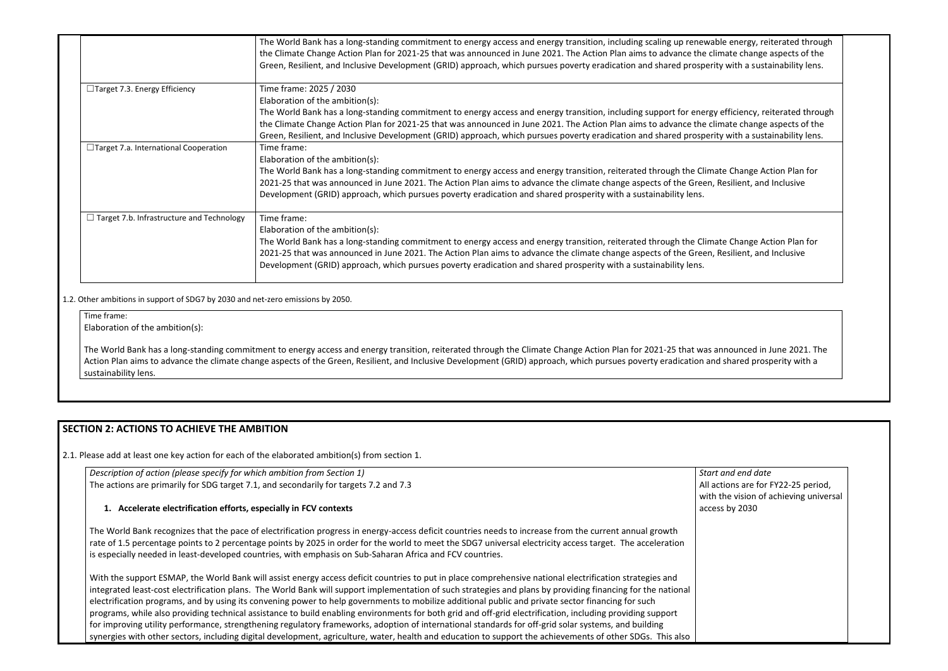|                                                  | The World Bank has a long-standing commitment to energy access and energy transition, including scaling up renewable energy, reiterated through<br>the Climate Change Action Plan for 2021-25 that was announced in June 2021. The Action Plan aims to advance the climate change aspects of the<br>Green, Resilient, and Inclusive Development (GRID) approach, which pursues poverty eradication and shared prosperity with a sustainability lens.                                                                 |
|--------------------------------------------------|----------------------------------------------------------------------------------------------------------------------------------------------------------------------------------------------------------------------------------------------------------------------------------------------------------------------------------------------------------------------------------------------------------------------------------------------------------------------------------------------------------------------|
| □Target 7.3. Energy Efficiency                   | Time frame: 2025 / 2030<br>Elaboration of the ambition(s):<br>The World Bank has a long-standing commitment to energy access and energy transition, including support for energy efficiency, reiterated through<br>the Climate Change Action Plan for 2021-25 that was announced in June 2021. The Action Plan aims to advance the climate change aspects of the<br>Green, Resilient, and Inclusive Development (GRID) approach, which pursues poverty eradication and shared prosperity with a sustainability lens. |
| $\Box$ Target 7.a. International Cooperation     | Time frame:<br>Elaboration of the ambition(s):<br>The World Bank has a long-standing commitment to energy access and energy transition, reiterated through the Climate Change Action Plan for<br>2021-25 that was announced in June 2021. The Action Plan aims to advance the climate change aspects of the Green, Resilient, and Inclusive<br>Development (GRID) approach, which pursues poverty eradication and shared prosperity with a sustainability lens.                                                      |
| $\Box$ Target 7.b. Infrastructure and Technology | Time frame:<br>Elaboration of the ambition(s):<br>The World Bank has a long-standing commitment to energy access and energy transition, reiterated through the Climate Change Action Plan for<br>2021-25 that was announced in June 2021. The Action Plan aims to advance the climate change aspects of the Green, Resilient, and Inclusive<br>Development (GRID) approach, which pursues poverty eradication and shared prosperity with a sustainability lens.                                                      |

1.2. Other ambitions in support of SDG7 by 2030 and net-zero emissions by 2050.

Time frame:

Elaboration of the ambition(s):

The World Bank has a long-standing commitment to energy access and energy transition, reiterated through the Climate Change Action Plan for 2021-25 that was a Action Plan aims to advance the climate change aspects of the Green, Resilient, and Inclusive Development (GRID) approach, which pursues poverty eradication and sustainability lens.

> *Start and end date*  ons are for FY22-25 period, e vision of achieving universal by 2030

# **SECTION 2: ACTIONS TO ACHIEVE THE AMBITION**

2.1. Please add at least one key action for each of the elaborated ambition(s) from section 1.

| Description of action (please specify for which ambition from Section 1)                                                                                                                                                                                                                                                                                                                                                                                                                                                                                                                                                                                                                                                                                                                             | Start an  |
|------------------------------------------------------------------------------------------------------------------------------------------------------------------------------------------------------------------------------------------------------------------------------------------------------------------------------------------------------------------------------------------------------------------------------------------------------------------------------------------------------------------------------------------------------------------------------------------------------------------------------------------------------------------------------------------------------------------------------------------------------------------------------------------------------|-----------|
| The actions are primarily for SDG target 7.1, and secondarily for targets 7.2 and 7.3                                                                                                                                                                                                                                                                                                                                                                                                                                                                                                                                                                                                                                                                                                                | All actic |
|                                                                                                                                                                                                                                                                                                                                                                                                                                                                                                                                                                                                                                                                                                                                                                                                      | with the  |
| 1. Accelerate electrification efforts, especially in FCV contexts                                                                                                                                                                                                                                                                                                                                                                                                                                                                                                                                                                                                                                                                                                                                    | access b  |
| The World Bank recognizes that the pace of electrification progress in energy-access deficit countries needs to increase from the current annual growth<br>rate of 1.5 percentage points to 2 percentage points by 2025 in order for the world to meet the SDG7 universal electricity access target. The acceleration<br>is especially needed in least-developed countries, with emphasis on Sub-Saharan Africa and FCV countries.                                                                                                                                                                                                                                                                                                                                                                   |           |
| With the support ESMAP, the World Bank will assist energy access deficit countries to put in place comprehensive national electrification strategies and<br>integrated least-cost electrification plans. The World Bank will support implementation of such strategies and plans by providing financing for the national<br>electrification programs, and by using its convening power to help governments to mobilize additional public and private sector financing for such<br>programs, while also providing technical assistance to build enabling environments for both grid and off-grid electrification, including providing support<br>for improving utility performance, strengthening regulatory frameworks, adoption of international standards for off-grid solar systems, and building |           |

synergies with other sectors, including digital development, agriculture, water, health and education to support the achievements of other SDGs. This also

| ble energy, reiterated through<br>imate change aspects of the<br>ty with a sustainability lens.    |  |
|----------------------------------------------------------------------------------------------------|--|
| y efficiency, reiterated through<br>imate change aspects of the<br>ity with a sustainability lens. |  |
| ate Change Action Plan for<br>Resilient, and Inclusive                                             |  |
| ate Change Action Plan for<br>Resilient, and Inclusive                                             |  |
|                                                                                                    |  |
| announced in June 2021. The<br>d shared prosperity with a                                          |  |
|                                                                                                    |  |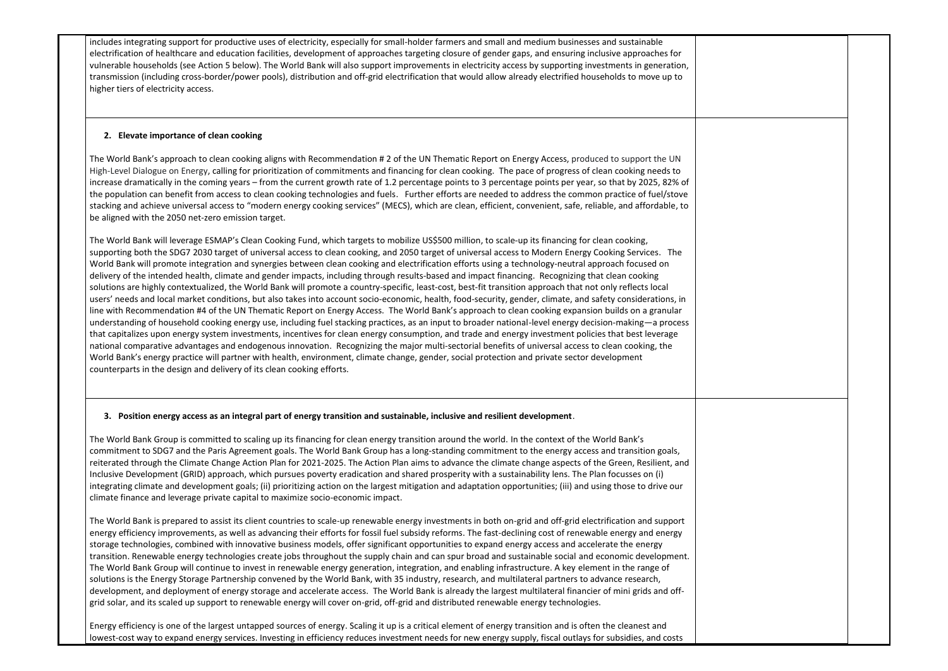includes integrating support for productive uses of electricity, especially for small-holder farmers and small and medium businesses and sustainable electrification of healthcare and education facilities, development of approaches targeting closure of gender gaps, and ensuring inclusive approaches for vulnerable households (see Action 5 below). The World Bank will also support improvements in electricity access by supporting investments in generation, transmission (including cross-border/power pools), distribution and off-grid electrification that would allow already electrified households to move up to higher tiers of electricity access.

### **2. Elevate importance of clean cooking**

The World Bank's approach to clean cooking aligns with Recommendation # 2 of the UN Thematic Report on Energy Access, produced to support the UN High-Level Dialogue on Energy, calling for prioritization of commitments and financing for clean cooking. The pace of progress of clean cooking needs to increase dramatically in the coming years – from the current growth rate of 1.2 percentage points to 3 percentage points per year, so that by 2025, 82% of the population can benefit from access to clean cooking technologies and fuels. Further efforts are needed to address the common practice of fuel/stove stacking and achieve universal access to "modern energy cooking services" (MECS), which are clean, efficient, convenient, safe, reliable, and affordable, to be aligned with the 2050 net-zero emission target.

The World Bank will leverage ESMAP's Clean Cooking Fund, which targets to mobilize US\$500 million, to scale-up its financing for clean cooking, supporting both the SDG7 2030 target of universal access to clean cooking, and 2050 target of universal access to Modern Energy Cooking Services. The World Bank will promote integration and synergies between clean cooking and electrification efforts using a technology-neutral approach focused on delivery of the intended health, climate and gender impacts, including through results-based and impact financing. Recognizing that clean cooking solutions are highly contextualized, the World Bank will promote a country-specific, least-cost, best-fit transition approach that not only reflects local users' needs and local market conditions, but also takes into account socio-economic, health, food-security, gender, climate, and safety considerations, in line with Recommendation #4 of the UN Thematic Report on Energy Access. The World Bank's approach to clean cooking expansion builds on a granular understanding of household cooking energy use, including fuel stacking practices, as an input to broader national-level energy decision-making—a process that capitalizes upon energy system investments, incentives for clean energy consumption, and trade and energy investment policies that best leverage national comparative advantages and endogenous innovation. Recognizing the major multi-sectorial benefits of universal access to clean cooking, the World Bank's energy practice will partner with health, environment, climate change, gender, social protection and private sector development counterparts in the design and delivery of its clean cooking efforts.

### **3. Position energy access as an integral part of energy transition and sustainable, inclusive and resilient development**.

The World Bank Group is committed to scaling up its financing for clean energy transition around the world. In the context of the World Bank's commitment to SDG7 and the Paris Agreement goals. The World Bank Group has a long-standing commitment to the energy access and transition goals, reiterated through the Climate Change Action Plan for 2021-2025. The Action Plan aims to advance the climate change aspects of the Green, Resilient, and Inclusive Development (GRID) approach, which pursues poverty eradication and shared prosperity with a sustainability lens. The Plan focusses on (i) integrating climate and development goals; (ii) prioritizing action on the largest mitigation and adaptation opportunities; (iii) and using those to drive our climate finance and leverage private capital to maximize socio-economic impact.

The World Bank is prepared to assist its client countries to scale-up renewable energy investments in both on-grid and off-grid electrification and support energy efficiency improvements, as well as advancing their efforts for fossil fuel subsidy reforms. The fast-declining cost of renewable energy and energy storage technologies, combined with innovative business models, offer significant opportunities to expand energy access and accelerate the energy transition. Renewable energy technologies create jobs throughout the supply chain and can spur broad and sustainable social and economic development. The World Bank Group will continue to invest in renewable energy generation, integration, and enabling infrastructure. A key element in the range of solutions is the Energy Storage Partnership convened by the World Bank, with 35 industry, research, and multilateral partners to advance research, development, and deployment of energy storage and accelerate access. The World Bank is already the largest multilateral financier of mini grids and offgrid solar, and its scaled up support to renewable energy will cover on-grid, off-grid and distributed renewable energy technologies.

Energy efficiency is one of the largest untapped sources of energy. Scaling it up is a critical element of energy transition and is often the cleanest and lowest-cost way to expand energy services. Investing in efficiency reduces investment needs for new energy supply, fiscal outlays for subsidies, and costs

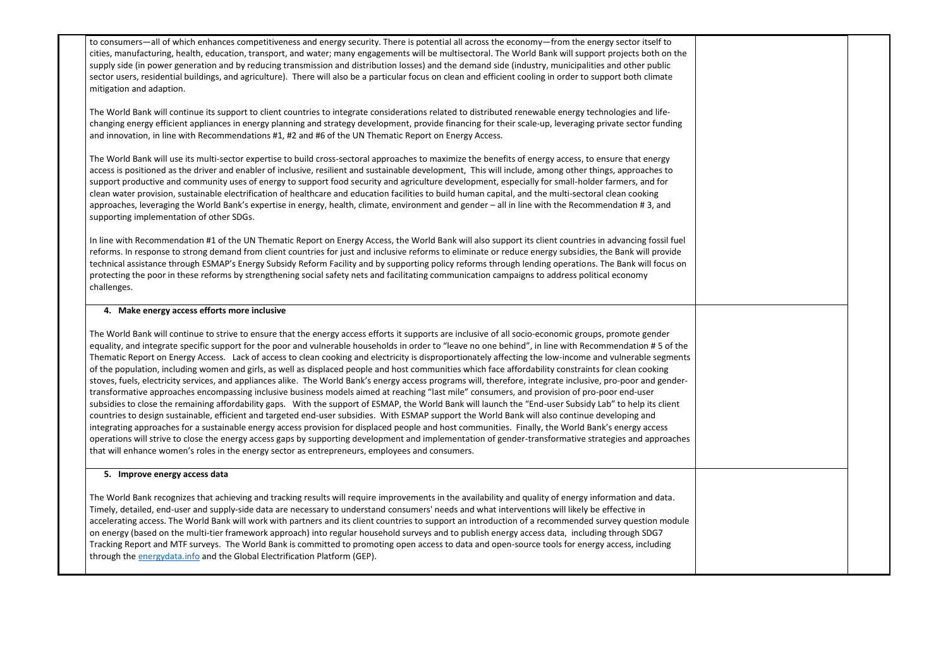to consumers—all of which enhances competitiveness and energy security. There is potential all across the economy—from the energy sector itself to cities, manufacturing, health, education, transport, and water; many engagements will be multisectoral. The World Bank will support projects both on the supply side (in power generation and by reducing transmission and distribution losses) and the demand side (industry, municipalities and other public sector users, residential buildings, and agriculture). There will also be a particular focus on clean and efficient cooling in order to support both climate mitigation and adaption.

The World Bank will continue its support to client countries to integrate considerations related to distributed renewable energy technologies and lifechanging energy efficient appliances in energy planning and strategy development, provide financing for their scale-up, leveraging private sector funding and innovation, in line with Recommendations #1, #2 and #6 of the UN Thematic Report on Energy Access.

The World Bank will use its multi-sector expertise to build cross-sectoral approaches to maximize the benefits of energy access, to ensure that energy access is positioned as the driver and enabler of inclusive, resilient and sustainable development, This will include, among other things, approaches to support productive and community uses of energy to support food security and agriculture development, especially for small-holder farmers, and for clean water provision, sustainable electrification of healthcare and education facilities to build human capital, and the multi-sectoral clean cooking approaches, leveraging the World Bank's expertise in energy, health, climate, environment and gender – all in line with the Recommendation # 3, and supporting implementation of other SDGs.

In line with Recommendation #1 of the UN Thematic Report on Energy Access, the World Bank will also support its client countries in advancing fossil fuel reforms. In response to strong demand from client countries for just and inclusive reforms to eliminate or reduce energy subsidies, the Bank will provide technical assistance through ESMAP's Energy Subsidy Reform Facility and by supporting policy reforms through lending operations. The Bank will focus on protecting the poor in these reforms by strengthening social safety nets and facilitating communication campaigns to address political economy challenges.

#### **4. Make energy access efforts more inclusive**

The World Bank will continue to strive to ensure that the energy access efforts it supports are inclusive of all socio-economic groups, promote gender equality, and integrate specific support for the poor and vulnerable households in order to "leave no one behind", in line with Recommendation # 5 of the Thematic Report on Energy Access. Lack of access to clean cooking and electricity is disproportionately affecting the low-income and vulnerable segments of the population, including women and girls, as well as displaced people and host communities which face affordability constraints for clean cooking stoves, fuels, electricity services, and appliances alike. The World Bank's energy access programs will, therefore, integrate inclusive, pro-poor and gendertransformative approaches encompassing inclusive business models aimed at reaching "last mile" consumers, and provision of pro-poor end-user subsidies to close the remaining affordability gaps. With the support of ESMAP, the World Bank will launch the "End-user Subsidy Lab" to help its client countries to design sustainable, efficient and targeted end-user subsidies. With ESMAP support the World Bank will also continue developing and integrating approaches for a sustainable energy access provision for displaced people and host communities. Finally, the World Bank's energy access operations will strive to close the energy access gaps by supporting development and implementation of gender-transformative strategies and approaches that will enhance women's roles in the energy sector as entrepreneurs, employees and consumers.

#### **5. Improve energy access data**

The World Bank recognizes that achieving and tracking results will require improvements in the availability and quality of energy information and data. Timely, detailed, end-user and supply-side data are necessary to understand consumers' needs and what interventions will likely be effective in accelerating access. The World Bank will work with partners and its client countries to support an introduction of a recommended survey question module on energy (based on the multi-tier framework approach) into regular household surveys and to publish energy access data, including through SDG7 Tracking Report and MTF surveys. The World Bank is committed to promoting open access to data and open-source tools for energy access, including through the [energydata.info](http://www.energydata.info/) and the Global Electrification Platform (GEP).

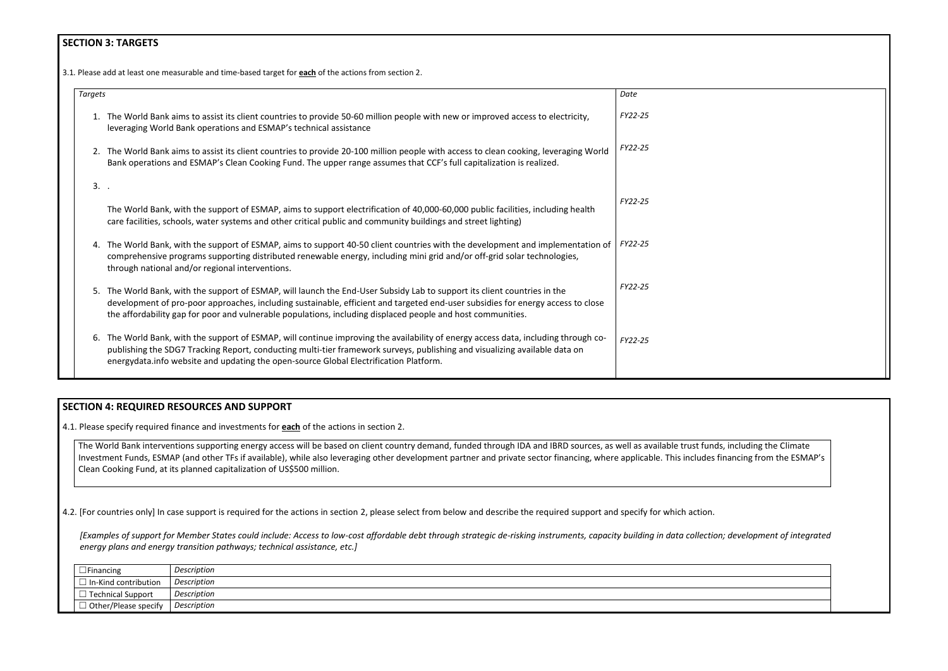# **SECTION 3: TARGETS**

3.1*.* Please add at least one measurable and time-based target for **each** of the actions from section 2.

| <b>Targets</b> |                                                                                                                                                                                                                                                                                                                                                                          | Date           |
|----------------|--------------------------------------------------------------------------------------------------------------------------------------------------------------------------------------------------------------------------------------------------------------------------------------------------------------------------------------------------------------------------|----------------|
| 1.             | The World Bank aims to assist its client countries to provide 50-60 million people with new or improved access to electricity,<br>leveraging World Bank operations and ESMAP's technical assistance                                                                                                                                                                      | FY22-25        |
|                | 2. The World Bank aims to assist its client countries to provide 20-100 million people with access to clean cooking, leveraging World<br>Bank operations and ESMAP's Clean Cooking Fund. The upper range assumes that CCF's full capitalization is realized.                                                                                                             | FY22-25        |
| $3.$ .         |                                                                                                                                                                                                                                                                                                                                                                          |                |
|                | The World Bank, with the support of ESMAP, aims to support electrification of 40,000-60,000 public facilities, including health<br>care facilities, schools, water systems and other critical public and community buildings and street lighting)                                                                                                                        | <b>FY22-25</b> |
|                | 4. The World Bank, with the support of ESMAP, aims to support 40-50 client countries with the development and implementation of<br>comprehensive programs supporting distributed renewable energy, including mini grid and/or off-grid solar technologies,<br>through national and/or regional interventions.                                                            | FY22-25        |
| 5.             | The World Bank, with the support of ESMAP, will launch the End-User Subsidy Lab to support its client countries in the<br>development of pro-poor approaches, including sustainable, efficient and targeted end-user subsidies for energy access to close<br>the affordability gap for poor and vulnerable populations, including displaced people and host communities. | FY22-25        |
| 6.             | The World Bank, with the support of ESMAP, will continue improving the availability of energy access data, including through co-<br>publishing the SDG7 Tracking Report, conducting multi-tier framework surveys, publishing and visualizing available data on<br>energydata.info website and updating the open-source Global Electrification Platform.                  | FY22-25        |

# **SECTION 4: REQUIRED RESOURCES AND SUPPORT**

4.1. Please specify required finance and investments for **each** of the actions in section 2.

The World Bank interventions supporting energy access will be based on client country demand, funded through IDA and IBRD sources, as well as available trust funds, including the Climate Investment Funds, ESMAP (and other TFs if available), while also leveraging other development partner and private sector financing, where applicable. This includes financing from the ESMAP's Clean Cooking Fund, at its planned capitalization of US\$500 million.

4.2. [For countries only] In case support is required for the actions in section 2, please select from below and describe the required support and specify for which action.

*[Examples of support for Member States could include: Access to low-cost affordable debt through strategic de-risking instruments, capacity building in data collection; development of integrated energy plans and energy transition pathways; technical assistance, etc.]*

| $\Box$ Financing            | Description |
|-----------------------------|-------------|
| $\Box$ In-Kind contribution | Description |
| $\Box$ Technical Support    | Description |
| $\Box$ Other/Please specify | Description |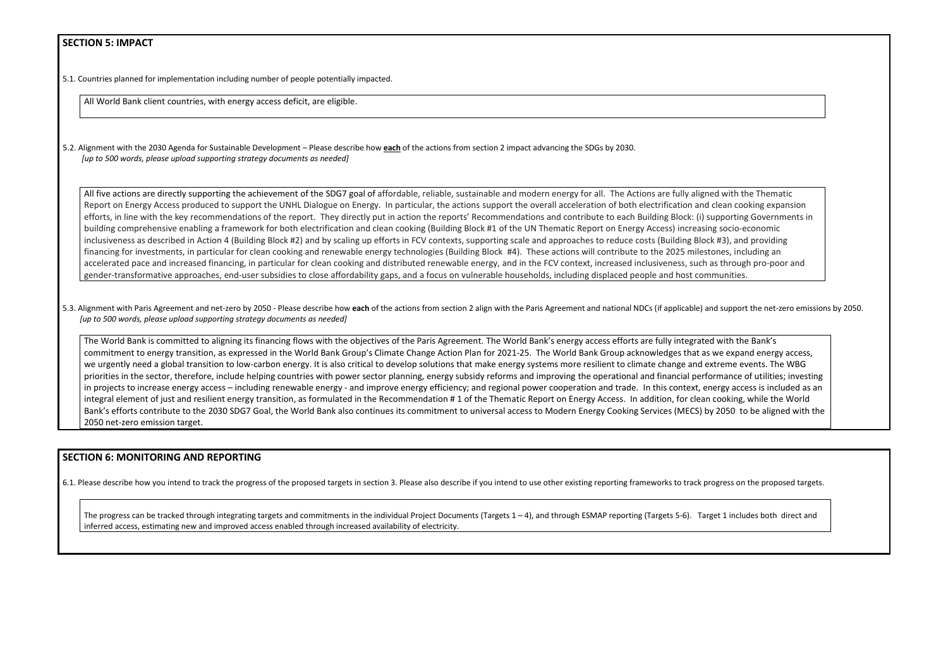## **SECTION 5: IMPACT**

5.1. Countries planned for implementation including number of people potentially impacted.

All World Bank client countries, with energy access deficit, are eligible.

5.2. Alignment with the 2030 Agenda for Sustainable Development – Please describe how **each** of the actions from section 2 impact advancing the SDGs by 2030. *[up to 500 words, please upload supporting strategy documents as needed]* 

All five actions are directly supporting the achievement of the SDG7 goal of affordable, reliable, sustainable and modern energy for all. The Actions are fully aligned Report on Energy Access produced to support the UNHL Dialogue on Energy. In particular, the actions support the overall acceleration of both electrification and cl efforts, in line with the key recommendations of the report. They directly put in action the reports' Recommendations and contribute to each Building Block: (i) sup building comprehensive enabling a framework for both electrification and clean cooking (Building Block #1 of the UN Thematic Report on Energy Access) increasing inclusiveness as described in Action 4 (Building Block #2) and by scaling up efforts in FCV contexts, supporting scale and approaches to reduce costs (Building Block financing for investments, in particular for clean cooking and renewable energy technologies (Building Block #4). These actions will contribute to the 2025 mileston accelerated pace and increased financing, in particular for clean cooking and distributed renewable energy, and in the FCV context, increased inclusiveness, such a gender-transformative approaches, end-user subsidies to close affordability gaps, and a focus on vulnerable households, including displaced people and host comr

5.3. Alignment with Paris Agreement and net-zero by 2050 - Please describe how each of the actions from section 2 align with the Paris Agreement and national NDCs (if applicable) and *[up to 500 words, please upload supporting strategy documents as needed]* 

The World Bank is committed to aligning its financing flows with the objectives of the Paris Agreement. The World Bank's energy access efforts are fully integrated commitment to energy transition, as expressed in the World Bank Group's Climate Change Action Plan for 2021-25. The World Bank Group acknowledges that as w we urgently need a global transition to low-carbon energy. It is also critical to develop solutions that make energy systems more resilient to climate change and ext priorities in the sector, therefore, include helping countries with power sector planning, energy subsidy reforms and improving the operational and financial perfor in projects to increase energy access – including renewable energy - and improve energy efficiency; and regional power cooperation and trade. In this context, ene integral element of just and resilient energy transition, as formulated in the Recommendation #1 of the Thematic Report on Energy Access. In addition, for clean c Bank's efforts contribute to the 2030 SDG7 Goal, the World Bank also continues its commitment to universal access to Modern Energy Cooking Services (MECS) by 2050 net-zero emission target.

The progress can be tracked through integrating targets and commitments in the individual Project Documents (Targets 1 – 4), and through ESMAP reporting (Targets 5-6). Target 1 includes both direct and inferred access, estimating new and improved access enabled through increased availability of electricity.

| d with the Thematic                                     |  |
|---------------------------------------------------------|--|
| lean cooking expansion                                  |  |
| pporting Governments in                                 |  |
| s socio-economic                                        |  |
| #3), and providing                                      |  |
| nes, including an                                       |  |
| s through pro-poor and                                  |  |
| nunities.                                               |  |
| d support the net-zero emissions by 2050.               |  |
| with the Bank's                                         |  |
| we expand energy access,                                |  |
| treme events. The WBG                                   |  |
| mance of utilities; investing                           |  |
| ergy access is included as an                           |  |
| cooking, while the World<br>2050 to be aligned with the |  |
|                                                         |  |

## **SECTION 6: MONITORING AND REPORTING**

6.1. Please describe how you intend to track the progress of the proposed targets in section 3. Please also describe if you intend to use other existing reporting frameworks to track progress on the proposed targets.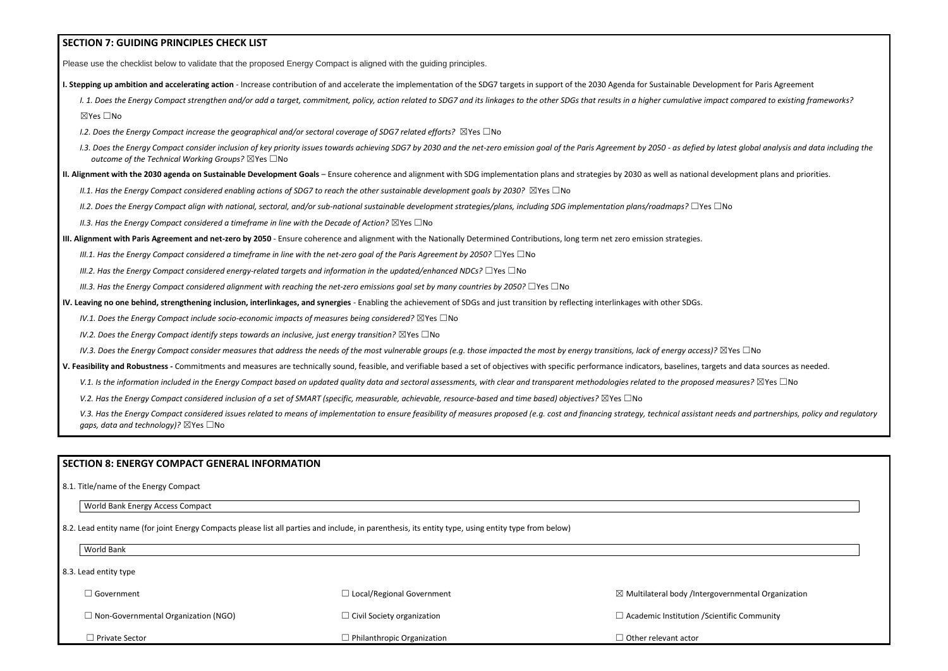## **SECTION 7: GUIDING PRINCIPLES CHECK LIST**

Please use the checklist below to validate that the proposed Energy Compact is aligned with the guiding principles.

**I. Stepping up ambition and accelerating action** - Increase contribution of and accelerate the implementation of the SDG7 targets in support of the 2030 Agenda for Sustainable Development for Paris Agreement

I. 1. Does the Energy Compact strengthen and/or add a target, commitment, policy, action related to SDG7 and its linkages to the other SDGs that results in a higher cumulative impact compared to existing frameworks? ☒Yes ☐No

- *I.2. Does the Energy Compact increase the geographical and/or sectoral coverage of SDG7 related efforts?* ⊠Yes □No
- I.3. Does the Energy Compact consider inclusion of key priority issues towards achieving SDG7 by 2030 and the net-zero emission goal of the Paris Agreement by 2050 as defied by latest global analysis and data including t *outcome of the Technical Working Groups?* ☒Yes ☐No
- **II. Alignment with the 2030 agenda on Sustainable Development Goals** Ensure coherence and alignment with SDG implementation plans and strategies by 2030 as well as national development plans and priorities.
	- *II.1. Has the Energy Compact considered enabling actions of SDG7 to reach the other sustainable development goals by 2030?* ⊠Yes □No
	- *II.2. Does the Energy Compact align with national, sectoral, and/or sub-national sustainable development strategies/plans, including SDG implementation plans/roadmaps?* ☐Yes ☐No
	- *II.3. Has the Energy Compact considered a timeframe in line with the Decade of Action?* ⊠Yes □No
- **III. Alignment with Paris Agreement and net-zero by 2050** Ensure coherence and alignment with the Nationally Determined Contributions, long term net zero emission strategies.
	- *III.1. Has the Energy Compact considered a timeframe in line with the net-zero goal of the Paris Agreement by 2050?* □Yes □No
	- *III.2. Has the Energy Compact considered energy-related targets and information in the updated/enhanced NDCs?* ☐Yes ☐No
	- *III.3. Has the Energy Compact considered alignment with reaching the net-zero emissions goal set by many countries by 2050?* □Yes □No
- **IV. Leaving no one behind, strengthening inclusion, interlinkages, and synergies** Enabling the achievement of SDGs and just transition by reflecting interlinkages with other SDGs.
	- *IV.1. Does the Energy Compact include socio-economic impacts of measures being considered?* ⊠Yes □No
	- *IV.2. Does the Energy Compact identify steps towards an inclusive, just energy transition?* ⊠Yes □No
	- *IV.3. Does the Energy Compact consider measures that address the needs of the most vulnerable groups (e.g. those impacted the most by energy transitions, lack of energy access)?* ⊠Yes □No
- **V. Feasibility and Robustness -** Commitments and measures are technically sound, feasible, and verifiable based a set of objectives with specific performance indicators, baselines, targets and data sources as needed.
	- V.1. Is the information included in the Energy Compact based on updated quality data and sectoral assessments, with clear and transparent methodologies related to the proposed measures? ⊠Yes □No
	- *V.2. Has the Energy Compact considered inclusion of a set of SMART (specific, measurable, achievable, resource-based and time based) objectives?* ⊠Yes □No

V.3. Has the Energy Compact considered issues related to means of implementation to ensure feasibility of measures proposed (e.g. cost and financing strategy, technical assistant needs and partnerships, policy and regulato *gaps, data and technology*)? ⊠Yes □No

| ⊿ Government                               | $\Box$ Local/Regional Government  | $\boxtimes$ Multilateral body /Interg |
|--------------------------------------------|-----------------------------------|---------------------------------------|
| $\Box$ Non-Governmental Organization (NGO) | $\Box$ Civil Society organization | $\Box$ Academic Institution /Sc       |
| $\Box$ Private Sector                      | $\Box$ Philanthropic Organization | $\Box$ Other relevant actor           |

### **SECTION 8: ENERGY COMPACT GENERAL INFORMATION**

8.1. Title/name of the Energy Compact

World Bank Energy Access Compact

8.2. Lead entity name (for joint Energy Compacts please list all parties and include, in parenthesis, its entity type, using entity type from below)

World Bank

8.3. Lead entity type

☒ Multilateral body /Intergovernmental Organization

cientific Community